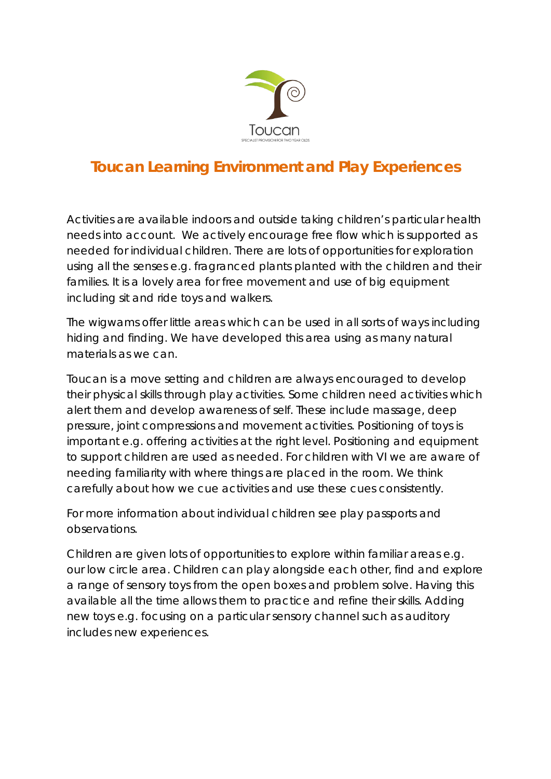

# **Toucan Learning Environment and Play Experiences**

Activities are available indoors and outside taking children's particular health needs into account. We actively encourage free flow which is supported as needed for individual children. There are lots of opportunities for exploration using all the senses e.g. fragranced plants planted with the children and their families. It is a lovely area for free movement and use of big equipment including sit and ride toys and walkers.

The wigwams offer little areas which can be used in all sorts of ways including hiding and finding. We have developed this area using as many natural materials as we can.

Toucan is a move setting and children are always encouraged to develop their physical skills through play activities. Some children need activities which alert them and develop awareness of self. These include massage, deep pressure, joint compressions and movement activities. Positioning of toys is important e.g. offering activities at the right level. Positioning and equipment to support children are used as needed. For children with VI we are aware of needing familiarity with where things are placed in the room. We think carefully about how we cue activities and use these cues consistently.

For more information about individual children see play passports and observations.

Children are given lots of opportunities to explore within familiar areas e.g. our low circle area. Children can play alongside each other, find and explore a range of sensory toys from the open boxes and problem solve. Having this available all the time allows them to practice and refine their skills. Adding new toys e.g. focusing on a particular sensory channel such as auditory includes new experiences.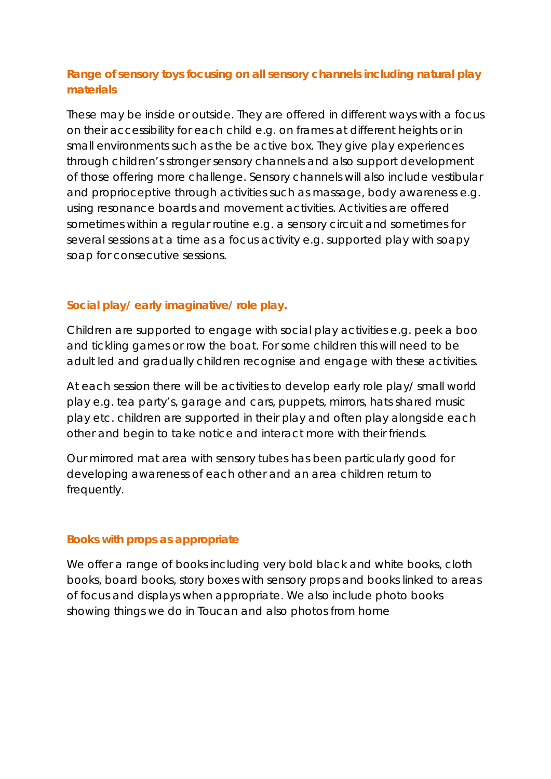# **Range of sensory toys focusing on all sensory channels including natural play materials**

These may be inside or outside. They are offered in different ways with a focus on their accessibility for each child e.g. on frames at different heights or in small environments such as the be active box. They give play experiences through children's stronger sensory channels and also support development of those offering more challenge. Sensory channels will also include vestibular and proprioceptive through activities such as massage, body awareness e.g. using resonance boards and movement activities. Activities are offered sometimes within a regular routine e.g. a sensory circuit and sometimes for several sessions at a time as a focus activity e.g. supported play with soapy soap for consecutive sessions.

## **Social play/ early imaginative/ role play.**

Children are supported to engage with social play activities e.g. peek a boo and tickling games or row the boat. For some children this will need to be adult led and gradually children recognise and engage with these activities.

At each session there will be activities to develop early role play/ small world play e.g. tea party's, garage and cars, puppets, mirrors, hats shared music play etc. children are supported in their play and often play alongside each other and begin to take notice and interact more with their friends.

Our mirrored mat area with sensory tubes has been particularly good for developing awareness of each other and an area children return to frequently.

### **Books with props as appropriate**

We offer a range of books including very bold black and white books, cloth books, board books, story boxes with sensory props and books linked to areas of focus and displays when appropriate. We also include photo books showing things we do in Toucan and also photos from home